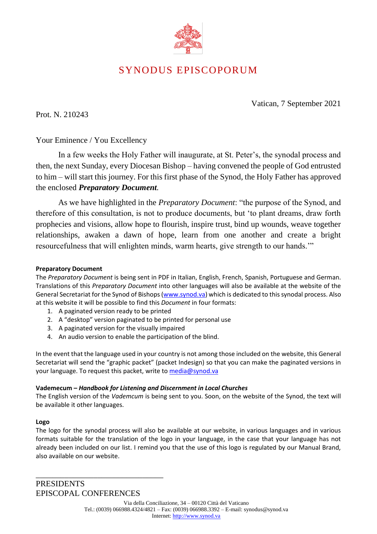

# SYNODUS EPISCOPORUM

Vatican, 7 September 2021

Prot. N. 210243

Your Eminence / You Excellency

In a few weeks the Holy Father will inaugurate, at St. Peter's, the synodal process and then, the next Sunday, every Diocesan Bishop – having convened the people of God entrusted to him – will start this journey. For this first phase of the Synod, the Holy Father has approved the enclosed *Preparatory Document.* 

As we have highlighted in the *Preparatory Document*: "the purpose of the Synod, and therefore of this consultation, is not to produce documents, but 'to plant dreams, draw forth prophecies and visions, allow hope to flourish, inspire trust, bind up wounds, weave together relationships, awaken a dawn of hope, learn from one another and create a bright resourcefulness that will enlighten minds, warm hearts, give strength to our hands.'"

#### **Preparatory Document**

The *Preparatory Document* is being sent in PDF in Italian, English, French, Spanish, Portuguese and German. Translations of this *Preparatory Document* into other languages will also be available at the website of the General Secretariat for the Synod of Bishops [\(www.synod.va\)](http://www.synod.va/) which is dedicated to this synodal process. Also at this website it will be possible to find this *Document* in four formats:

- 1. A paginated version ready to be printed
- 2. A "desktop" version paginated to be printed for personal use
- 3. A paginated version for the visually impaired
- 4. An audio version to enable the participation of the blind.

In the event that the language used in your country is not among those included on the website, this General Secretariat will send the "graphic packet" (packet Indesign) so that you can make the paginated versions in your language. To request this packet, write t[o media@synod.va](mailto:media@synod.va)

#### **Vademecum –** *Handbook for Listening and Discernment in Local Churches*

The English version of the *Vademcum* is being sent to you. Soon, on the website of the Synod, the text will be available it other languages.

#### **Logo**

The logo for the synodal process will also be available at our website, in various languages and in various formats suitable for the translation of the logo in your language, in the case that your language has not already been included on our list. I remind you that the use of this logo is regulated by our Manual Brand, also available on our website.

**PRESIDENTS** EPISCOPAL CONFERENCES

\_\_\_\_\_\_\_\_\_\_\_\_\_\_\_\_\_\_\_\_\_\_\_\_\_\_\_\_\_\_\_